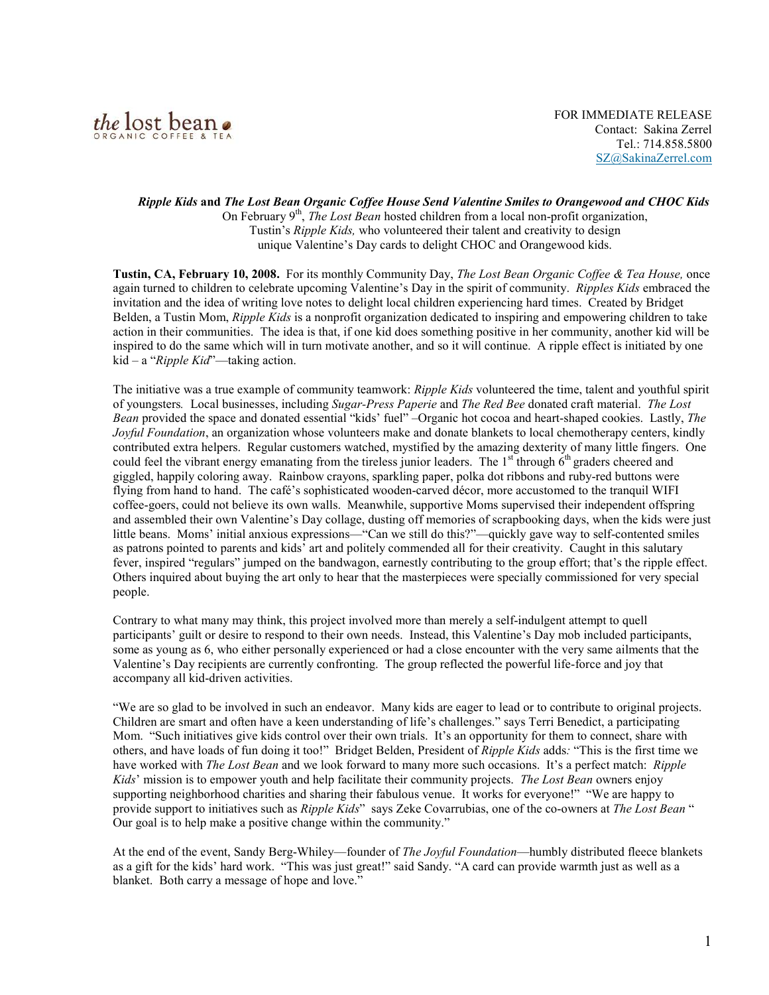

Ripple Kids and The Lost Bean Organic Coffee House Send Valentine Smiles to Orangewood and CHOC Kids On February  $9<sup>th</sup>$ , *The Lost Bean* hosted children from a local non-profit organization, Tustin's Ripple Kids, who volunteered their talent and creativity to design unique Valentine's Day cards to delight CHOC and Orangewood kids.

Tustin, CA, February 10, 2008. For its monthly Community Day, The Lost Bean Organic Coffee & Tea House, once again turned to children to celebrate upcoming Valentine's Day in the spirit of community. Ripples Kids embraced the invitation and the idea of writing love notes to delight local children experiencing hard times. Created by Bridget Belden, a Tustin Mom, Ripple Kids is a nonprofit organization dedicated to inspiring and empowering children to take action in their communities. The idea is that, if one kid does something positive in her community, another kid will be inspired to do the same which will in turn motivate another, and so it will continue. A ripple effect is initiated by one  $kid - a$  "*Ripple Kid*"—taking action.

The initiative was a true example of community teamwork: Ripple Kids volunteered the time, talent and youthful spirit of youngsters. Local businesses, including Sugar-Press Paperie and The Red Bee donated craft material. The Lost Bean provided the space and donated essential "kids' fuel" –Organic hot cocoa and heart-shaped cookies. Lastly, The Joyful Foundation, an organization whose volunteers make and donate blankets to local chemotherapy centers, kindly contributed extra helpers. Regular customers watched, mystified by the amazing dexterity of many little fingers. One could feel the vibrant energy emanating from the tireless junior leaders. The  $1<sup>st</sup>$  through  $6<sup>th</sup>$  graders cheered and giggled, happily coloring away. Rainbow crayons, sparkling paper, polka dot ribbons and ruby-red buttons were flying from hand to hand. The café's sophisticated wooden-carved décor, more accustomed to the tranquil WIFI coffee-goers, could not believe its own walls. Meanwhile, supportive Moms supervised their independent offspring and assembled their own Valentine's Day collage, dusting off memories of scrapbooking days, when the kids were just little beans. Moms' initial anxious expressions—"Can we still do this?"—quickly gave way to self-contented smiles as patrons pointed to parents and kids' art and politely commended all for their creativity. Caught in this salutary fever, inspired "regulars" jumped on the bandwagon, earnestly contributing to the group effort; that's the ripple effect. Others inquired about buying the art only to hear that the masterpieces were specially commissioned for very special people.

Contrary to what many may think, this project involved more than merely a self-indulgent attempt to quell participants' guilt or desire to respond to their own needs. Instead, this Valentine's Day mob included participants, some as young as 6, who either personally experienced or had a close encounter with the very same ailments that the Valentine's Day recipients are currently confronting. The group reflected the powerful life-force and joy that accompany all kid-driven activities.

"We are so glad to be involved in such an endeavor. Many kids are eager to lead or to contribute to original projects. Children are smart and often have a keen understanding of life's challenges." says Terri Benedict, a participating Mom. "Such initiatives give kids control over their own trials. It's an opportunity for them to connect, share with others, and have loads of fun doing it too!" Bridget Belden, President of Ripple Kids adds: "This is the first time we have worked with *The Lost Bean* and we look forward to many more such occasions. It's a perfect match: *Ripple* Kids' mission is to empower youth and help facilitate their community projects. The Lost Bean owners enjoy supporting neighborhood charities and sharing their fabulous venue. It works for everyone!" "We are happy to provide support to initiatives such as *Ripple Kids*" says Zeke Covarrubias, one of the co-owners at *The Lost Bean* " Our goal is to help make a positive change within the community."

At the end of the event, Sandy Berg-Whiley—founder of *The Joyful Foundation*—humbly distributed fleece blankets as a gift for the kids' hard work. "This was just great!" said Sandy. "A card can provide warmth just as well as a blanket. Both carry a message of hope and love."